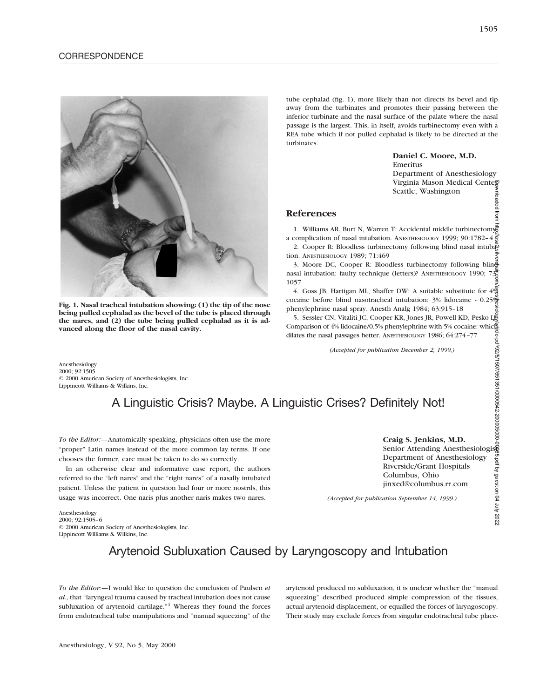

**Fig. 1. Nasal tracheal intubation showing: (1) the tip of the nose being pulled cephalad as the bevel of the tube is placed through the nares, and (2) the tube being pulled cephalad as it is advanced along the floor of the nasal cavity.**

tube cephalad (fig. 1), more likely than not directs its bevel and tip away from the turbinates and promotes their passing between the inferior turbinate and the nasal surface of the palate where the nasal passage is the largest. This, in itself, avoids turbinectomy even with a REA tube which if not pulled cephalad is likely to be directed at the turbinates.

#### **Daniel C. Moore, M.D.** Emeritus

Department of Anesthesiology Virginia Mason Medical Centeg Seattle, Washington mioaded from

## **References**

1. Williams AR, Burt N, Warren T: Accidental middle turbinectomys a complication of nasal intubation. ANESTHESIOLOGY 1999; 90:1782–4

2. Cooper R: Bloodless turbinectomy following blind nasal intubation. ANESTHESIOLOGY 1989; 71:469

3. Moore DC, Cooper R: Bloodless turbinectomy following blin $\frac{d}{dx}$ nasal intubation: faulty technique (letters)? ANESTHESIOLOGY 1990;  $73\frac{1}{8}$ 1057

4. Goss JB, Hartigan ML, Shaffer DW: A suitable substitute for  $4\frac{\omega}{60}$ cocaine before blind nasotracheal intubation: 3% lidocaine - 0.25% phenylephrine nasal spray. Anesth Analg 1984; 63:915–18

5. Sessler CN, Vitaliti JC, Cooper KR, Jones JR, Powell KD, Pesko Lj Comparison of 4% lidocaine/0.5% phenylephrine with 5% cocaine: which dilates the nasal passages better. ANESTHESIOLOGY 1986; 64:274–77 Downloaded from http://asa2.silverchair.com/anesthesiology/article-pdf/92/5/1507/651351/0000542-200005000-00065.pdf by guest on 04 July 2022

*(Accepted for publication December 2, 1999.)*

Anesthesiology 2000; 92:1505 © 2000 American Society of Anesthesiologists, Inc. Lippincott Williams & Wilkins, Inc.

# A Linguistic Crisis? Maybe. A Linguistic Crises? Definitely Not!

*To the Editor:—*Anatomically speaking, physicians often use the more "proper" Latin names instead of the more common lay terms. If one chooses the former, care must be taken to do so correctly.

In an otherwise clear and informative case report, the authors referred to the "left nares" and the "right nares" of a nasally intubated patient. Unless the patient in question had four or more nostrils, this usage was incorrect. One naris plus another naris makes two nares.

#### **Craig S. Jenkins, M.D.**

Senior Attending Anesthesiologist Department of Anesthesiology Riverside/Grant Hospitals Columbus, Ohio jinxed@columbus.rr.com

*(Accepted for publication September 14, 1999.)*

Anesthesiology 2000; 92:1505–6 © 2000 American Society of Anesthesiologists, Inc. Lippincott Williams & Wilkins, Inc.

Arytenoid Subluxation Caused by Laryngoscopy and Intubation

*To the Editor:—*I would like to question the conclusion of Paulsen *et al.*, that "laryngeal trauma caused by tracheal intubation does not cause subluxation of arytenoid cartilage."<sup>1</sup> Whereas they found the forces from endotracheal tube manipulations and "manual squeezing" of the arytenoid produced no subluxation, it is unclear whether the "manual squeezing" described produced simple compression of the tissues, actual arytenoid displacement, or equalled the forces of laryngoscopy. Their study may exclude forces from singular endotracheal tube place-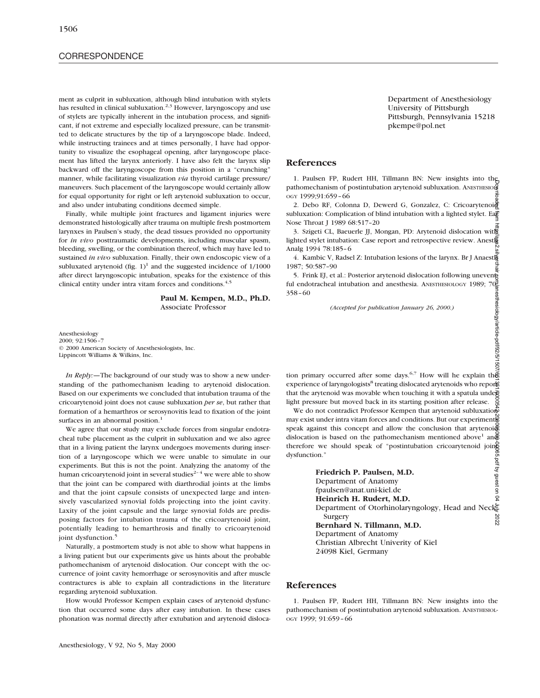# **CORRESPONDENCE**

ment as culprit in subluxation, although blind intubation with stylets has resulted in clinical subluxation.<sup>2,3</sup> However, laryngoscopy and use of stylets are typically inherent in the intubation process, and significant, if not extreme and especially localized pressure, can be transmitted to delicate structures by the tip of a laryngoscope blade. Indeed, while instructing trainees and at times personally, I have had opportunity to visualize the esophageal opening, after laryngoscope placement has lifted the larynx anteriorly. I have also felt the larynx slip backward off the laryngoscope from this position in a "crunching" manner, while facilitating visualization *via* thyroid cartilage pressure/ maneuvers. Such placement of the laryngoscope would certainly allow for equal opportunity for right or left arytenoid subluxation to occur, and also under intubating conditions deemed simple.

Finally, while multiple joint fractures and ligament injuries were demonstrated histologically after trauma on multiple fresh postmortem larynxes in Paulsen's study, the dead tissues provided no opportunity for *in vivo* posttraumatic developments, including muscular spasm, bleeding, swelling, or the combination thereof, which may have led to sustained *in vivo* subluxation. Finally, their own endoscopic view of a subluxated arytenoid (fig.  $1$ )<sup>1</sup> and the suggested incidence of  $1/1000$ after direct laryngoscopic intubation, speaks for the existence of this clinical entity under intra vitam forces and conditions.<sup>4,5</sup>

> **Paul M. Kempen, M.D., Ph.D.** Associate Professor

Anesthesiology 2000; 92:1506–7 © 2000 American Society of Anesthesiologists, Inc. Lippincott Williams & Wilkins, Inc.

*In Reply:—*The background of our study was to show a new understanding of the pathomechanism leading to arytenoid dislocation. Based on our experiments we concluded that intubation trauma of the cricoarytenoid joint does not cause subluxation *per se*, but rather that formation of a hemarthros or serosynovitis lead to fixation of the joint surfaces in an abnormal position.<sup>1</sup>

We agree that our study may exclude forces from singular endotracheal tube placement as the culprit in subluxation and we also agree that in a living patient the larynx undergoes movements during insertion of a laryngoscope which we were unable to simulate in our experiments. But this is not the point. Analyzing the anatomy of the human cricoarytenoid joint in several studies<sup> $2-4$ </sup> we were able to show that the joint can be compared with diarthrodial joints at the limbs and that the joint capsule consists of unexpected large and intensively vascularized synovial folds projecting into the joint cavity. Laxity of the joint capsule and the large synovial folds are predisposing factors for intubation trauma of the cricoarytenoid joint, potentially leading to hemarthrosis and finally to cricoarytenoid joint dysfunction.<sup>5</sup>

Naturally, a postmortem study is not able to show what happens in a living patient but our experiments give us hints about the probable pathomechanism of arytenoid dislocation. Our concept with the occurrence of joint cavity hemorrhage or serosynovitis and after muscle contractures is able to explain all contradictions in the literature regarding arytenoid subluxation.

How would Professor Kempen explain cases of arytenoid dysfunction that occurred some days after easy intubation. In these cases phonation was normal directly after extubation and arytenoid disloca-

Department of Anesthesiology University of Pittsburgh Pittsburgh, Pennsylvania 15218 pkempe@pol.net

### **References**

1. Paulsen FP, Rudert HH, Tillmann BN: New insights into the pathomechanism of postintubation arytenoid subluxation. ANESTHESIOL OGY 1999;91:659–66

2. Debo RF, Colonna D, Dewerd G, Gonzalez, C: Cricoarytenoid subluxation: Complication of blind intubation with a lighted stylet. Early Nose Throat J 1989 68:517–20

3. Szigeti CL, Baeuerle JJ, Mongan, PD: Arytenoid dislocation with lighted stylet intubation: Case report and retrospective review. Anestle Analg 1994 78:185–6

4. Kambic V, Radsel Z: Intubation lesions of the larynx. Br J Anaestherm  $1987:50:587-90$ 

5. Frink EJ, et al.: Posterior arytenoid dislocation following unevents ful endotracheal intubation and anesthesia. ANESTHESIOLOGY 1989;  $70\frac{3}{5}$ 358–60 nesthesiology/article-pdf/92/5/1507

*(Accepted for publication January 26, 2000.)*

tion primary occurred after some days.<sup>6,7</sup> How will he explain the experience of laryngologists<sup>8</sup> treating dislocated arytenoids who report that the arytenoid was movable when touching it with a spatula under light pressure but moved back in its starting position after release.  $\frac{8}{9}$ 

We do not contradict Professor Kempen that arytenoid subluxation may exist under intra vitam forces and conditions. But our experiments speak against this concept and allow the conclusion that arytenoi $\tilde{\mathfrak{G}}$ dislocation is based on the pathomechanism mentioned above<sup>1</sup> and therefore we should speak of "postintubation cricoarytenoid joint dysfunction."

Downloaded from http://asa2.silverchair.com/anesthesiology/article-pdf/92/5/1507/651351/0000542-200005000-00065.pdf by guest on 04 July 2022**Friedrich P. Paulsen, M.D.** Department of Anatomy fpaulsen@anat.uni-kiel.de **Heinrich H. Rudert, M.D.** Department of Otorhinolaryngology, Head and Neck Surgery 2022 **Bernhard N. Tillmann, M.D.** Department of Anatomy Christian Albrecht Univerity of Kiel 24098 Kiel, Germany

#### **References**

1. Paulsen FP, Rudert HH, Tillmann BN: New insights into the pathomechanism of postintubation arytenoid subluxation. ANESTHESIOL-OGY 1999; 91:659–66